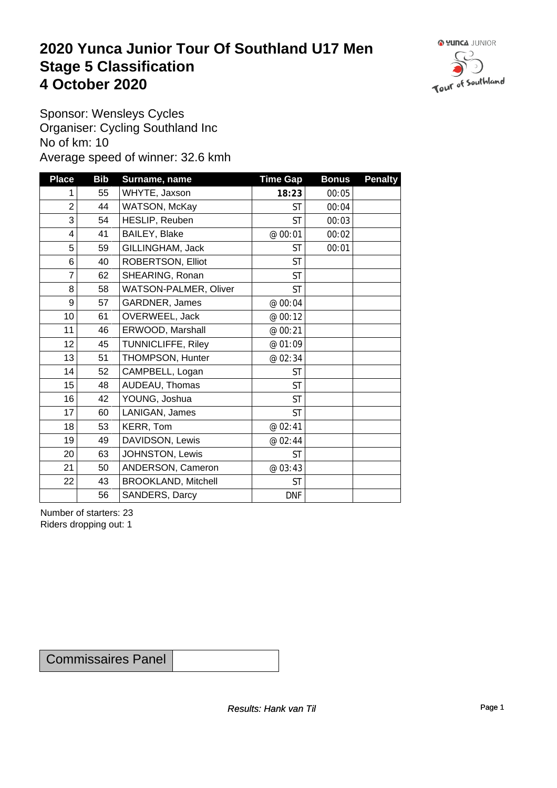### **2020 Yunca Junior Tour Of Southland U17 Men** Stage 5 Classification<br>4 October 2020 **4 October 2020**



Sponsor: Wensleys Cycles Organiser: Cycling Southland Inc No of km: 10 Average speed of winner: 32.6 kmh

| <b>Place</b>    | <b>Bib</b> | Surname, name              | <b>Time Gap</b> | <b>Bonus</b> | <b>Penalty</b> |
|-----------------|------------|----------------------------|-----------------|--------------|----------------|
| 1               | 55         | WHYTE, Jaxson              | 18:23           | 00:05        |                |
| $\overline{2}$  | 44         | WATSON, McKay              | <b>ST</b>       | 00:04        |                |
| 3               | 54         | HESLIP, Reuben             | <b>ST</b>       | 00:03        |                |
| $\overline{4}$  | 41         | BAILEY, Blake              | @ 00:01         | 00:02        |                |
| 5               | 59         | GILLINGHAM, Jack           | ST              | 00:01        |                |
| 6               | 40         | ROBERTSON, Elliot          | <b>ST</b>       |              |                |
| 7               | 62         | SHEARING, Ronan            | <b>ST</b>       |              |                |
| 8               | 58         | WATSON-PALMER, Oliver      | <b>ST</b>       |              |                |
| 9               | 57         | GARDNER, James             | @ 00:04         |              |                |
| 10 <sup>1</sup> | 61         | OVERWEEL, Jack             | @ 00:12         |              |                |
| 11              | 46         | ERWOOD, Marshall           | @ 00:21         |              |                |
| 12              | 45         | TUNNICLIFFE, Riley         | @ 01:09         |              |                |
| 13              | 51         | THOMPSON, Hunter           | @ 02:34         |              |                |
| 14              | 52         | CAMPBELL, Logan            | <b>ST</b>       |              |                |
| 15              | 48         | AUDEAU, Thomas             | <b>ST</b>       |              |                |
| 16              | 42         | YOUNG, Joshua              | <b>ST</b>       |              |                |
| 17              | 60         | LANIGAN, James             | <b>ST</b>       |              |                |
| 18              | 53         | KERR, Tom                  | @ 02:41         |              |                |
| 19              | 49         | DAVIDSON, Lewis            | @ 02:44         |              |                |
| 20 <sup>1</sup> | 63         | JOHNSTON, Lewis            | <b>ST</b>       |              |                |
| 21              | 50         | ANDERSON, Cameron          | @ 03:43         |              |                |
| 22              | 43         | <b>BROOKLAND, Mitchell</b> | <b>ST</b>       |              |                |
|                 | 56         | SANDERS, Darcy             | <b>DNF</b>      |              |                |

Number of starters: 23 Riders dropping out: 1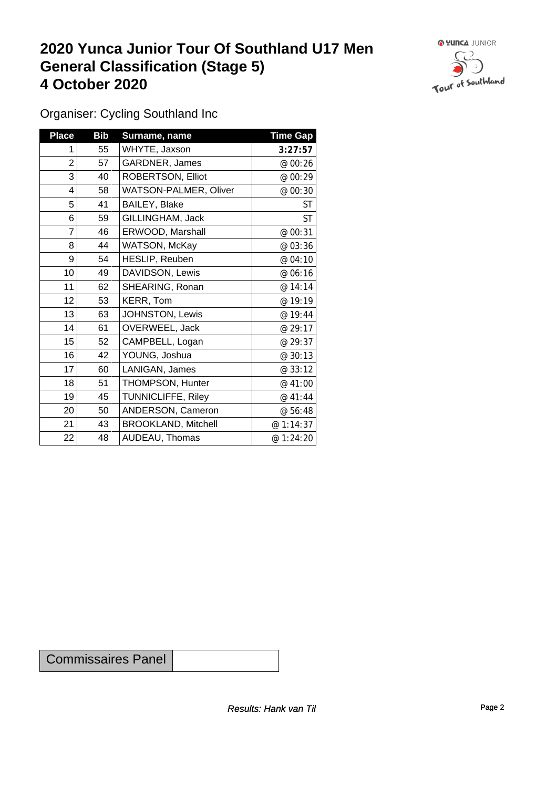## **2020 Yunca Junior Tour Of Southland U17 Men General Classification (Stage 5)**<br>
4 October 2020 **4 October 2020**



Organiser: Cycling Southland Inc

| <b>Place</b>   | <b>Bib</b> | Surname, name                | <b>Time Gap</b> |
|----------------|------------|------------------------------|-----------------|
| 1              | 55         | WHYTE, Jaxson                | 3:27:57         |
| $\overline{c}$ | 57         | GARDNER, James               | @ 00:26         |
| 3              | 40         | ROBERTSON, Elliot            | @ 00:29         |
| 4              | 58         | <b>WATSON-PALMER, Oliver</b> | @ 00:30         |
| 5              | 41         | BAILEY, Blake                | <b>ST</b>       |
| 6              | 59         | GILLINGHAM, Jack             | <b>ST</b>       |
| 7              | 46         | ERWOOD, Marshall             | @ 00:31         |
| 8              | 44         | WATSON, McKay                | @ 03:36         |
| 9              | 54         | HESLIP, Reuben               | @ 04:10         |
| 10             | 49         | DAVIDSON, Lewis              | @ 06:16         |
| 11             | 62         | SHEARING, Ronan              | @ 14:14         |
| 12             | 53         | KERR, Tom                    | @ 19:19         |
| 13             | 63         | JOHNSTON, Lewis              | @ 19:44         |
| 14             | 61         | OVERWEEL, Jack               | @ 29:17         |
| 15             | 52         | CAMPBELL, Logan              | @ 29:37         |
| 16             | 42         | YOUNG, Joshua                | @ 30:13         |
| 17             | 60         | LANIGAN, James               | @ 33:12         |
| 18             | 51         | THOMPSON, Hunter             | @ 41:00         |
| 19             | 45         | TUNNICLIFFE, Riley           | @ 41:44         |
| 20             | 50         | ANDERSON, Cameron            | @ 56:48         |
| 21             | 43         | <b>BROOKLAND, Mitchell</b>   | @ 1:14:37       |
| 22             | 48         | AUDEAU, Thomas               | @ 1:24:20       |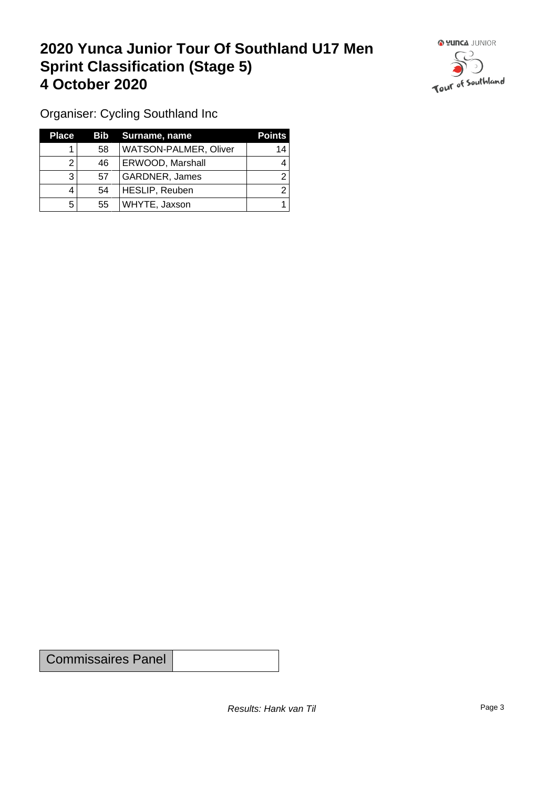## **2020 Yunca Junior Tour Of Southland U17 Men Sprint Classification (Stage 5) 4 October 2020**



Organiser: Cycling Southland Inc

| <b>Place</b> |    | Bib Surname, name            | <b>Points</b> |
|--------------|----|------------------------------|---------------|
|              | 58 | <b>WATSON-PALMER, Oliver</b> | 14            |
|              | 46 | ERWOOD, Marshall             |               |
| 3            | 57 | GARDNER, James               |               |
|              | 54 | HESLIP, Reuben               |               |
| 5            | 55 | WHYTE, Jaxson                |               |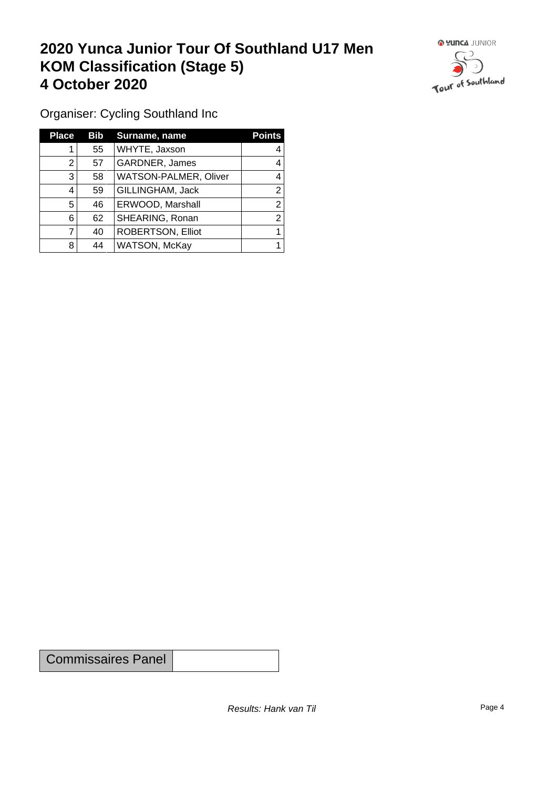## **2020 Yunca Junior Tour Of Southland U17 Men KOM Classification (Stage 5) 4 October 2020**



Organiser: Cycling Southland Inc

| <b>Place</b> | Bib | Surname, name            | <b>Points</b> |
|--------------|-----|--------------------------|---------------|
|              | 55  | WHYTE, Jaxson            | 4             |
| 2            | 57  | GARDNER, James           | 4             |
| 3            | 58  | WATSON-PALMER, Oliver    |               |
| 4            | 59  | GILLINGHAM, Jack         | 2             |
| 5            | 46  | ERWOOD, Marshall         | ◠             |
| 6            | 62  | SHEARING, Ronan          | 2             |
|              | 40  | <b>ROBERTSON, Elliot</b> |               |
| 8            | 44  | WATSON, McKay            |               |